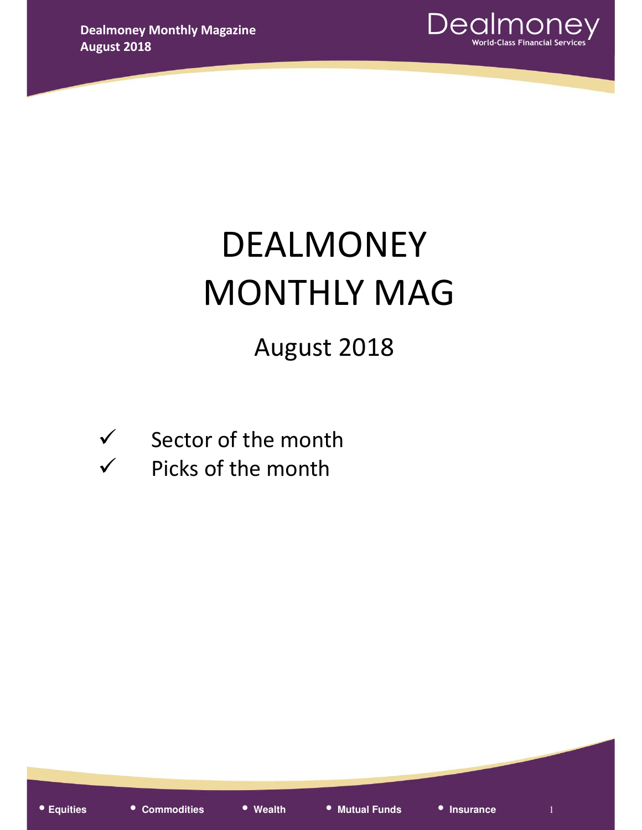

# DEALMONEY MONTHLY MAG

## August 2018

- $\checkmark$  Sector of the month
- $\checkmark$  Picks of the month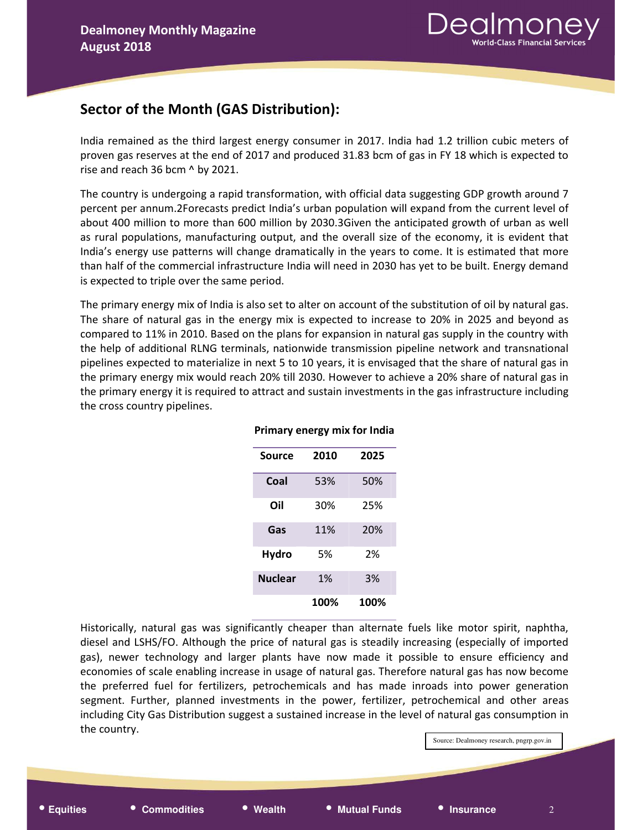## Sector of the Month (GAS Distribution):

India remained as the third largest energy consumer in 2017. India had 1.2 trillion cubic meters of proven gas reserves at the end of 2017 and produced 31.83 bcm of gas in FY 18 which is expected to rise and reach 36 bcm ^ by 2021.

The country is undergoing a rapid transformation, with official data suggesting GDP growth around 7 percent per annum.2Forecasts predict India's urban population will expand from the current level of about 400 million to more than 600 million by 2030.3Given the anticipated growth of urban as well as rural populations, manufacturing output, and the overall size of the economy, it is evident that India's energy use patterns will change dramatically in the years to come. It is estimated that more than half of the commercial infrastructure India will need in 2030 has yet to be built. Energy demand is expected to triple over the same period.

The primary energy mix of India is also set to alter on account of the substitution of oil by natural gas. The share of natural gas in the energy mix is expected to increase to 20% in 2025 and beyond as compared to 11% in 2010. Based on the plans for expansion in natural gas supply in the country with the help of additional RLNG terminals, nationwide transmission pipeline network and transnational pipelines expected to materialize in next 5 to 10 years, it is envisaged that the share of natural gas in the primary energy mix would reach 20% till 2030. However to achieve a 20% share of natural gas in the primary energy it is required to attract and sustain investments in the gas infrastructure including the cross country pipelines.

| Source         | 2010 | 2025 |
|----------------|------|------|
| Coal           | 53%  | 50%  |
| Oil            | 30%  | 25%  |
| Gas            | 11%  | 20%  |
| Hydro          | 5%   | 2%   |
| <b>Nuclear</b> | 1%   | 3%   |
|                | 100% | 100% |

#### Primary energy mix for India

Historically, natural gas was significantly cheaper than alternate fuels like motor spirit, naphtha, diesel and LSHS/FO. Although the price of natural gas is steadily increasing (especially of imported gas), newer technology and larger plants have now made it possible to ensure efficiency and economies of scale enabling increase in usage of natural gas. Therefore natural gas has now become the preferred fuel for fertilizers, petrochemicals and has made inroads into power generation segment. Further, planned investments in the power, fertilizer, petrochemical and other areas including City Gas Distribution suggest a sustained increase in the level of natural gas consumption in the country.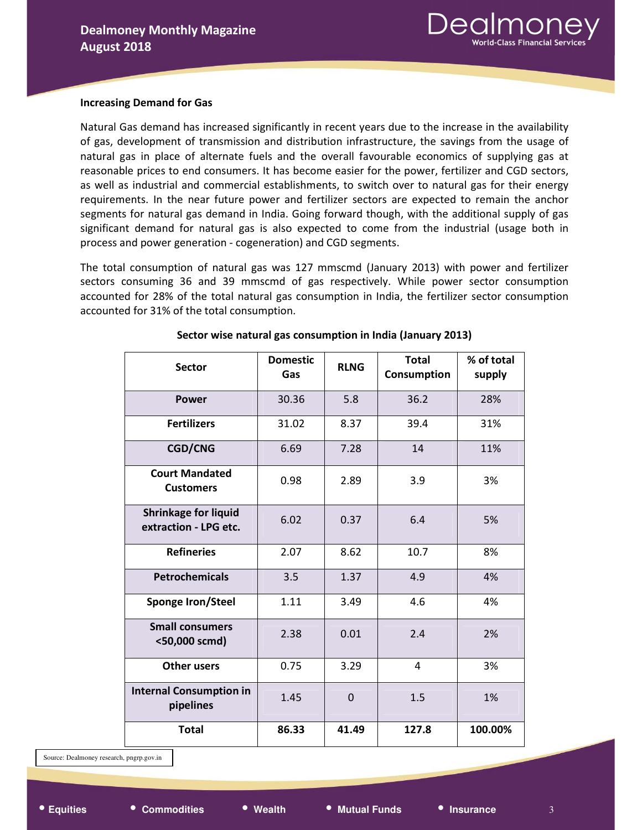

#### Increasing Demand for Gas

Natural Gas demand has increased significantly in recent years due to the increase in the availability of gas, development of transmission and distribution infrastructure, the savings from the usage of natural gas in place of alternate fuels and the overall favourable economics of supplying gas at reasonable prices to end consumers. It has become easier for the power, fertilizer and CGD sectors, as well as industrial and commercial establishments, to switch over to natural gas for their energy requirements. In the near future power and fertilizer sectors are expected to remain the anchor segments for natural gas demand in India. Going forward though, with the additional supply of gas significant demand for natural gas is also expected to come from the industrial (usage both in process and power generation - cogeneration) and CGD segments.

The total consumption of natural gas was 127 mmscmd (January 2013) with power and fertilizer sectors consuming 36 and 39 mmscmd of gas respectively. While power sector consumption accounted for 28% of the total natural gas consumption in India, the fertilizer sector consumption accounted for 31% of the total consumption.

| <b>Sector</b>                                        | <b>Domestic</b><br>Gas | <b>RLNG</b> | <b>Total</b><br>Consumption | % of total<br>supply |
|------------------------------------------------------|------------------------|-------------|-----------------------------|----------------------|
| <b>Power</b>                                         | 30.36                  | 5.8<br>36.2 |                             | 28%                  |
| <b>Fertilizers</b>                                   | 31.02                  | 8.37        | 39.4                        | 31%                  |
| <b>CGD/CNG</b>                                       | 6.69                   | 7.28        | 14                          | 11%                  |
| <b>Court Mandated</b><br><b>Customers</b>            | 0.98                   | 2.89        | 3.9                         | 3%                   |
| <b>Shrinkage for liquid</b><br>extraction - LPG etc. | 6.02                   | 0.37        | 6.4                         | 5%                   |
| <b>Refineries</b>                                    | 2.07                   | 8.62        | 10.7                        | 8%                   |
| <b>Petrochemicals</b>                                | 3.5                    | 1.37        | 4.9                         | 4%                   |
| Sponge Iron/Steel                                    | 1.11                   | 3.49        | 4.6                         | 4%                   |
| <b>Small consumers</b><br><50,000 scmd)              | 2.38                   | 0.01        | 2.4                         | 2%                   |
| <b>Other users</b>                                   | 0.75                   | 3.29        | 4                           | 3%                   |
| <b>Internal Consumption in</b><br>pipelines          | 1.45                   | $\mathbf 0$ | 1.5                         | 1%                   |
| <b>Total</b>                                         | 86.33                  | 41.49       | 127.8                       | 100.00%              |

Sector wise natural gas consumption in India (January 2013)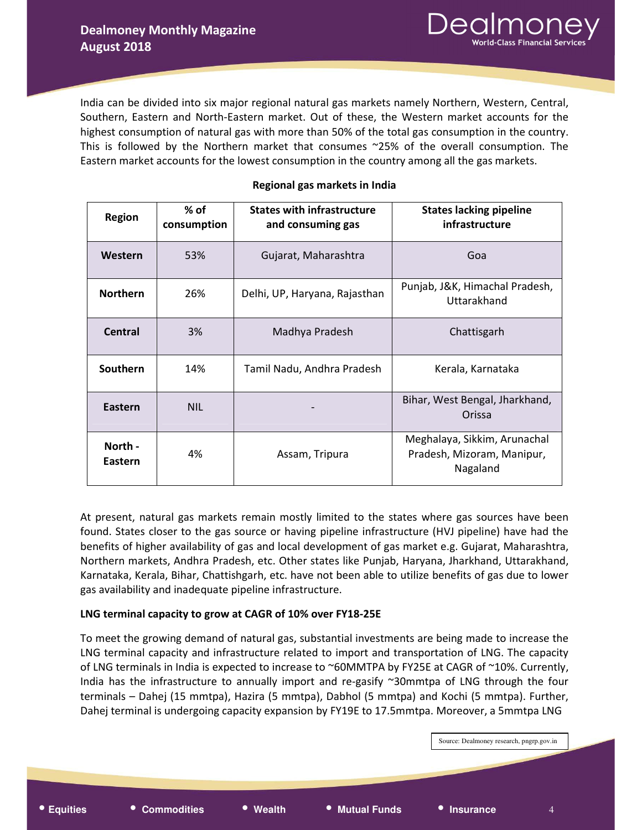India can be divided into six major regional natural gas markets namely Northern, Western, Central, Southern, Eastern and North-Eastern market. Out of these, the Western market accounts for the highest consumption of natural gas with more than 50% of the total gas consumption in the country. This is followed by the Northern market that consumes ~25% of the overall consumption. The Eastern market accounts for the lowest consumption in the country among all the gas markets.

| <b>Region</b>      | $%$ of<br>consumption | <b>States with infrastructure</b><br>and consuming gas | <b>States lacking pipeline</b><br>infrastructure                       |
|--------------------|-----------------------|--------------------------------------------------------|------------------------------------------------------------------------|
| Western            | 53%                   | Gujarat, Maharashtra                                   | Goa                                                                    |
| <b>Northern</b>    | 26%                   | Delhi, UP, Haryana, Rajasthan                          | Punjab, J&K, Himachal Pradesh,<br>Uttarakhand                          |
| Central            | 3%                    | Madhya Pradesh                                         | Chattisgarh                                                            |
| Southern           | 14%                   | Tamil Nadu, Andhra Pradesh                             | Kerala, Karnataka                                                      |
| Eastern            | <b>NIL</b>            |                                                        | Bihar, West Bengal, Jharkhand,<br>Orissa                               |
| North -<br>Eastern | 4%                    | Assam, Tripura                                         | Meghalaya, Sikkim, Arunachal<br>Pradesh, Mizoram, Manipur,<br>Nagaland |

#### Regional gas markets in India

At present, natural gas markets remain mostly limited to the states where gas sources have been found. States closer to the gas source or having pipeline infrastructure (HVJ pipeline) have had the benefits of higher availability of gas and local development of gas market e.g. Gujarat, Maharashtra, Northern markets, Andhra Pradesh, etc. Other states like Punjab, Haryana, Jharkhand, Uttarakhand, Karnataka, Kerala, Bihar, Chattishgarh, etc. have not been able to utilize benefits of gas due to lower gas availability and inadequate pipeline infrastructure.

#### LNG terminal capacity to grow at CAGR of 10% over FY18-25E

To meet the growing demand of natural gas, substantial investments are being made to increase the LNG terminal capacity and infrastructure related to import and transportation of LNG. The capacity of LNG terminals in India is expected to increase to ~60MMTPA by FY25E at CAGR of ~10%. Currently, India has the infrastructure to annually import and re-gasify ~30mmtpa of LNG through the four terminals – Dahej (15 mmtpa), Hazira (5 mmtpa), Dabhol (5 mmtpa) and Kochi (5 mmtpa). Further, Dahej terminal is undergoing capacity expansion by FY19E to 17.5mmtpa. Moreover, a 5mmtpa LNG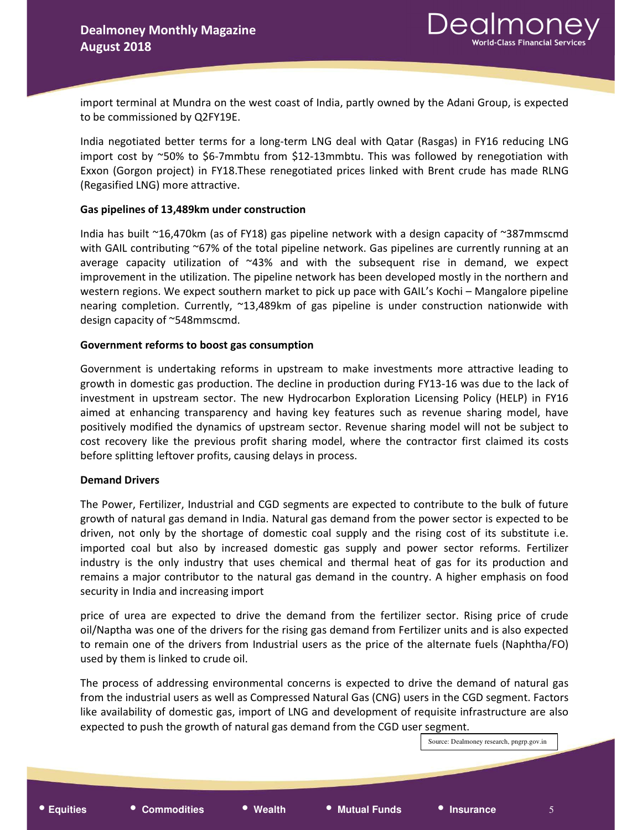import terminal at Mundra on the west coast of India, partly owned by the Adani Group, is expected to be commissioned by Q2FY19E.

India negotiated better terms for a long-term LNG deal with Qatar (Rasgas) in FY16 reducing LNG import cost by ~50% to \$6-7mmbtu from \$12-13mmbtu. This was followed by renegotiation with Exxon (Gorgon project) in FY18.These renegotiated prices linked with Brent crude has made RLNG (Regasified LNG) more attractive.

#### Gas pipelines of 13,489km under construction

India has built ~16,470km (as of FY18) gas pipeline network with a design capacity of ~387mmscmd with GAIL contributing ~67% of the total pipeline network. Gas pipelines are currently running at an average capacity utilization of  $~43\%$  and with the subsequent rise in demand, we expect improvement in the utilization. The pipeline network has been developed mostly in the northern and western regions. We expect southern market to pick up pace with GAIL's Kochi – Mangalore pipeline nearing completion. Currently, ~13,489km of gas pipeline is under construction nationwide with design capacity of ~548mmscmd.

#### Government reforms to boost gas consumption

Government is undertaking reforms in upstream to make investments more attractive leading to growth in domestic gas production. The decline in production during FY13-16 was due to the lack of investment in upstream sector. The new Hydrocarbon Exploration Licensing Policy (HELP) in FY16 aimed at enhancing transparency and having key features such as revenue sharing model, have positively modified the dynamics of upstream sector. Revenue sharing model will not be subject to cost recovery like the previous profit sharing model, where the contractor first claimed its costs before splitting leftover profits, causing delays in process.

#### Demand Drivers

The Power, Fertilizer, Industrial and CGD segments are expected to contribute to the bulk of future growth of natural gas demand in India. Natural gas demand from the power sector is expected to be driven, not only by the shortage of domestic coal supply and the rising cost of its substitute i.e. imported coal but also by increased domestic gas supply and power sector reforms. Fertilizer industry is the only industry that uses chemical and thermal heat of gas for its production and remains a major contributor to the natural gas demand in the country. A higher emphasis on food security in India and increasing import

price of urea are expected to drive the demand from the fertilizer sector. Rising price of crude oil/Naptha was one of the drivers for the rising gas demand from Fertilizer units and is also expected to remain one of the drivers from Industrial users as the price of the alternate fuels (Naphtha/FO) used by them is linked to crude oil.

The process of addressing environmental concerns is expected to drive the demand of natural gas from the industrial users as well as Compressed Natural Gas (CNG) users in the CGD segment. Factors like availability of domestic gas, import of LNG and development of requisite infrastructure are also expected to push the growth of natural gas demand from the CGD user segment.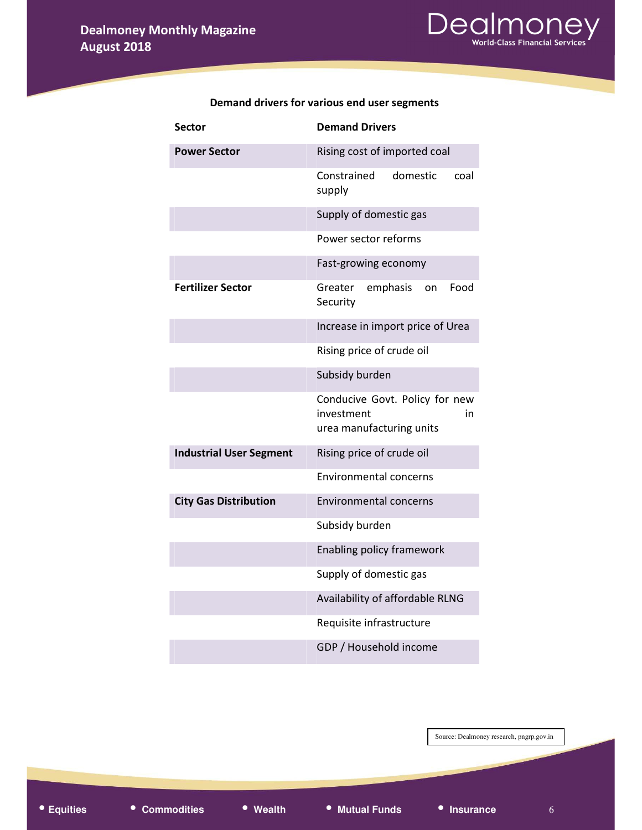

| <b>Sector</b>                  | <b>Demand Drivers</b>                                                          |
|--------------------------------|--------------------------------------------------------------------------------|
| <b>Power Sector</b>            | Rising cost of imported coal                                                   |
|                                | Constrained<br>domestic<br>coal<br>supply                                      |
|                                | Supply of domestic gas                                                         |
|                                | Power sector reforms                                                           |
|                                | Fast-growing economy                                                           |
| <b>Fertilizer Sector</b>       | Greater<br>emphasis<br>Food<br>on<br>Security                                  |
|                                | Increase in import price of Urea                                               |
|                                | Rising price of crude oil                                                      |
|                                | Subsidy burden                                                                 |
|                                | Conducive Govt. Policy for new<br>investment<br>in<br>urea manufacturing units |
| <b>Industrial User Segment</b> | Rising price of crude oil                                                      |
|                                | <b>Environmental concerns</b>                                                  |
| <b>City Gas Distribution</b>   | <b>Environmental concerns</b>                                                  |
|                                | Subsidy burden                                                                 |
|                                | <b>Enabling policy framework</b>                                               |
|                                | Supply of domestic gas                                                         |
|                                | Availability of affordable RLNG                                                |
|                                | Requisite infrastructure                                                       |
|                                | GDP / Household income                                                         |

#### Demand drivers for various end user segments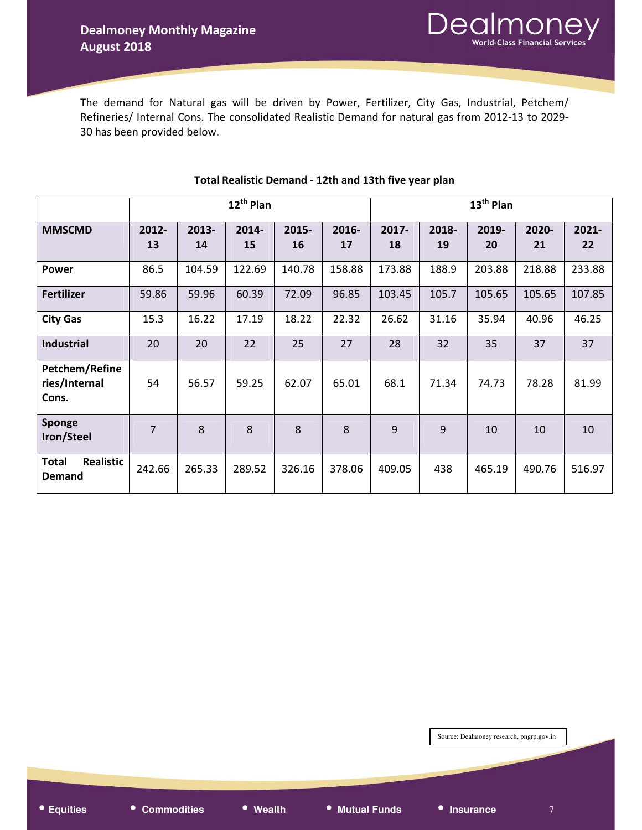The demand for Natural gas will be driven by Power, Fertilizer, City Gas, Industrial, Petchem/ Refineries/ Internal Cons. The consolidated Realistic Demand for natural gas from 2012-13 to 2029- 30 has been provided below.

|                                          | $12^{th}$ Plan |             |             |             |             | $13th$ Plan |             |             |             |             |
|------------------------------------------|----------------|-------------|-------------|-------------|-------------|-------------|-------------|-------------|-------------|-------------|
| <b>MMSCMD</b>                            | 2012-<br>13    | 2013-<br>14 | 2014-<br>15 | 2015-<br>16 | 2016-<br>17 | 2017-<br>18 | 2018-<br>19 | 2019-<br>20 | 2020-<br>21 | 2021-<br>22 |
| <b>Power</b>                             | 86.5           | 104.59      | 122.69      | 140.78      | 158.88      | 173.88      | 188.9       | 203.88      | 218.88      | 233.88      |
| <b>Fertilizer</b>                        | 59.86          | 59.96       | 60.39       | 72.09       | 96.85       | 103.45      | 105.7       | 105.65      | 105.65      | 107.85      |
| <b>City Gas</b>                          | 15.3           | 16.22       | 17.19       | 18.22       | 22.32       | 26.62       | 31.16       | 35.94       | 40.96       | 46.25       |
| <b>Industrial</b>                        | 20             | 20          | 22          | 25          | 27          | 28          | 32          | 35          | 37          | 37          |
| Petchem/Refine<br>ries/Internal<br>Cons. | 54             | 56.57       | 59.25       | 62.07       | 65.01       | 68.1        | 71.34       | 74.73       | 78.28       | 81.99       |
| Sponge<br>Iron/Steel                     | 7              | 8           | 8           | 8           | 8           | 9           | 9           | 10          | 10          | 10          |
| <b>Total</b><br>Realistic<br>Demand      | 242.66         | 265.33      | 289.52      | 326.16      | 378.06      | 409.05      | 438         | 465.19      | 490.76      | 516.97      |

#### Total Realistic Demand - 12th and 13th five year plan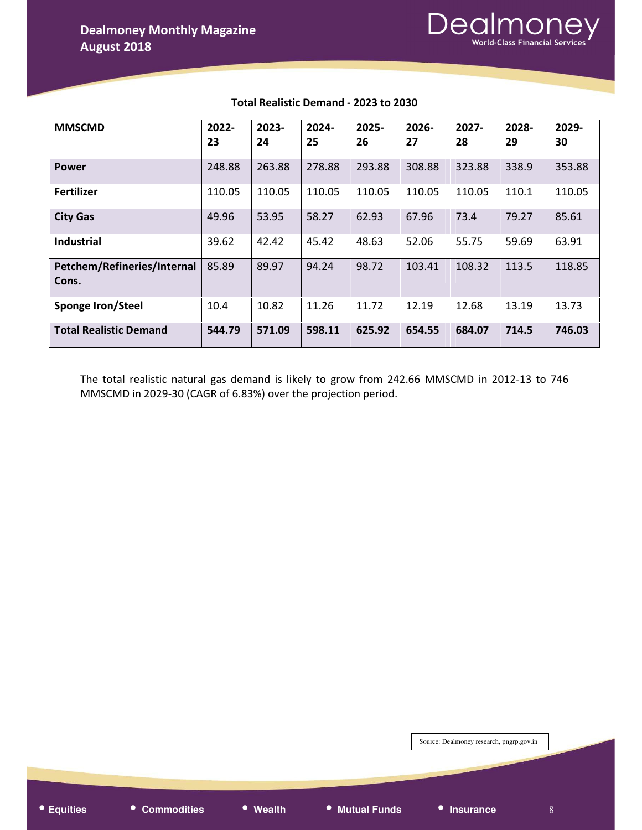

| <b>MMSCMD</b>                        | 2022-<br>23 | $2023 -$<br>24 | 2024-<br>25 | 2025-<br>26 | $2026 -$<br>27 | $2027 -$<br>28 | 2028-<br>29 | 2029-<br>30 |
|--------------------------------------|-------------|----------------|-------------|-------------|----------------|----------------|-------------|-------------|
| <b>Power</b>                         | 248.88      | 263.88         | 278.88      | 293.88      | 308.88         | 323.88         | 338.9       | 353.88      |
| <b>Fertilizer</b>                    | 110.05      | 110.05         | 110.05      | 110.05      | 110.05         | 110.05         | 110.1       | 110.05      |
| <b>City Gas</b>                      | 49.96       | 53.95          | 58.27       | 62.93       | 67.96          | 73.4           | 79.27       | 85.61       |
| <b>Industrial</b>                    | 39.62       | 42.42          | 45.42       | 48.63       | 52.06          | 55.75          | 59.69       | 63.91       |
| Petchem/Refineries/Internal<br>Cons. | 85.89       | 89.97          | 94.24       | 98.72       | 103.41         | 108.32         | 113.5       | 118.85      |
| Sponge Iron/Steel                    | 10.4        | 10.82          | 11.26       | 11.72       | 12.19          | 12.68          | 13.19       | 13.73       |
| <b>Total Realistic Demand</b>        | 544.79      | 571.09         | 598.11      | 625.92      | 654.55         | 684.07         | 714.5       | 746.03      |

#### Total Realistic Demand - 2023 to 2030

The total realistic natural gas demand is likely to grow from 242.66 MMSCMD in 2012-13 to 746 MMSCMD in 2029-30 (CAGR of 6.83%) over the projection period.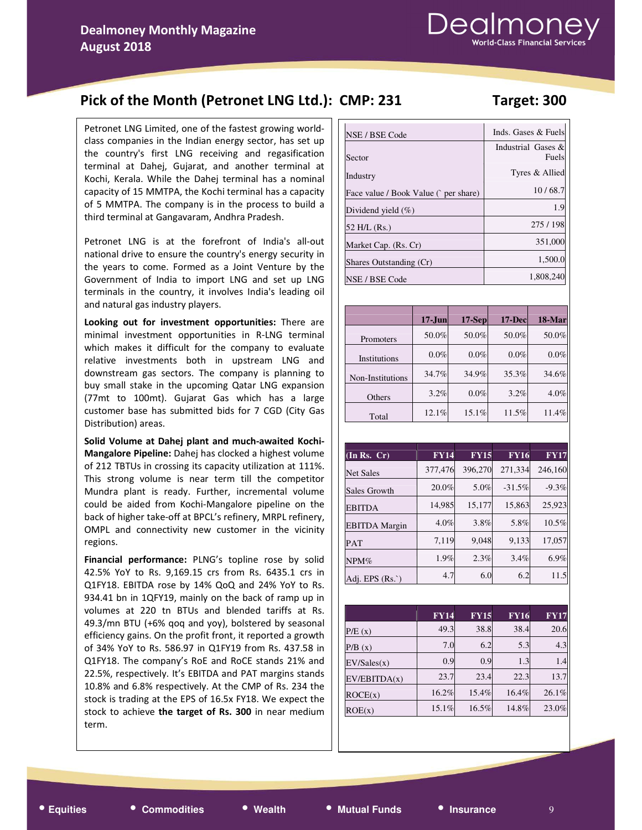## Pick of the Month (Petronet LNG Ltd.): CMP: 231 Target: 300

#### Petronet LNG Limited, one of the fastest growing worldclass companies in the Indian energy sector, has set up the country's first LNG receiving and regasification terminal at Dahej, Gujarat, and another terminal at Kochi, Kerala. While the Dahej terminal has a nominal capacity of 15 MMTPA, the Kochi terminal has a capacity of 5 MMTPA. The company is in the process to build a third terminal at Gangavaram, Andhra Pradesh.

Petronet LNG is at the forefront of India's all-out national drive to ensure the country's energy security in the years to come. Formed as a Joint Venture by the Government of India to import LNG and set up LNG terminals in the country, it involves India's leading oil and natural gas industry players.

Looking out for investment opportunities: There are minimal investment opportunities in R-LNG terminal which makes it difficult for the company to evaluate relative investments both in upstream LNG and downstream gas sectors. The company is planning to buy small stake in the upcoming Qatar LNG expansion (77mt to 100mt). Gujarat Gas which has a large customer base has submitted bids for 7 CGD (City Gas Distribution) areas.

Solid Volume at Dahej plant and much-awaited Kochi-Mangalore Pipeline: Dahej has clocked a highest volume of 212 TBTUs in crossing its capacity utilization at 111%. This strong volume is near term till the competitor Mundra plant is ready. Further, incremental volume could be aided from Kochi-Mangalore pipeline on the back of higher take-off at BPCL's refinery, MRPL refinery, OMPL and connectivity new customer in the vicinity regions.

Financial performance: PLNG's topline rose by solid 42.5% YoY to Rs. 9,169.15 crs from Rs. 6435.1 crs in Q1FY18. EBITDA rose by 14% QoQ and 24% YoY to Rs. 934.41 bn in 1QFY19, mainly on the back of ramp up in volumes at 220 tn BTUs and blended tariffs at Rs. 49.3/mn BTU (+6% qoq and yoy), bolstered by seasonal efficiency gains. On the profit front, it reported a growth of 34% YoY to Rs. 586.97 in Q1FY19 from Rs. 437.58 in Q1FY18. The company's RoE and RoCE stands 21% and 22.5%, respectively. It's EBITDA and PAT margins stands 10.8% and 6.8% respectively. At the CMP of Rs. 234 the stock is trading at the EPS of 16.5x FY18. We expect the stock to achieve the target of Rs. 300 in near medium term.

| NSE / BSE Code                       | Inds. Gases & Fuels         |
|--------------------------------------|-----------------------------|
| Sector                               | Industrial Gases &<br>Fuels |
| Industry                             | Tyres & Allied              |
| Face value / Book Value (`per share) | 10/68.7                     |
| Dividend yield $(\%)$                | 1.9                         |
| 52 H/L (Rs.)                         | 275/198                     |
| Market Cap. (Rs. Cr)                 | 351,000                     |
| Shares Outstanding (Cr)              | 1,500.0                     |
| NSE / BSE Code                       | 1,808,240                   |

|                  | $17$ -Jun | $17-Sep$ | $17 - Dec$ | 18-Mar |
|------------------|-----------|----------|------------|--------|
| Promoters        | 50.0%     | 50.0%    | 50.0%      | 50.0%  |
| Institutions     | $0.0\%$   | $0.0\%$  | $0.0\%$    | 0.0%   |
| Non-Institutions | 34.7%     | 34.9%    | 35.3%      | 34.6%  |
| Others           | 3.2%      | $0.0\%$  | 3.2%       | 4.0%   |
| Total            | 12.1%     | 15.1%    | 11.5%      | 11.4%  |

| (In Rs. Cr)          | <b>FY14</b> | <b>FY15</b> | <b>FY16</b> | <b>FY17</b> |
|----------------------|-------------|-------------|-------------|-------------|
| <b>Net Sales</b>     | 377,476     | 396,270     | 271,334     | 246,160     |
| Sales Growth         | 20.0%       | 5.0%        | $-31.5%$    | $-9.3%$     |
| <b>EBITDA</b>        | 14,985      | 15,177      | 15,863      | 25,923      |
| <b>EBITDA</b> Margin | 4.0%        | 3.8%        | 5.8%        | 10.5%       |
| <b>PAT</b>           | 7,119       | 9,048       | 9,133       | 17,057      |
| NPM%                 | 1.9%        | 2.3%        | 3.4%        | 6.9%        |
| Adi. EPS (Rs.`)      | 4.7         | 6.0         | 6.2         | 11.5        |

|              | <b>FY14</b> | <b>FY15</b> | <b>FY16</b> | <b>FY17</b> |
|--------------|-------------|-------------|-------------|-------------|
| P/E(x)       | 49.3        | 38.8        | 38.4        | 20.6        |
| P/B(x)       | 7.0         | 6.2         | 5.3         | 4.3         |
| EV/Sales(x)  | 0.9         | 0.9         | 1.3         | 1.4         |
| EV/EBITDA(x) | 23.7        | 23.4        | 22.3        | 13.7        |
| ROCE(x)      | 16.2%       | 15.4%       | 16.4%       | 26.1%       |
| ROE(x)       | 15.1%       | $16.5\%$    | 14.8%       | 23.0%       |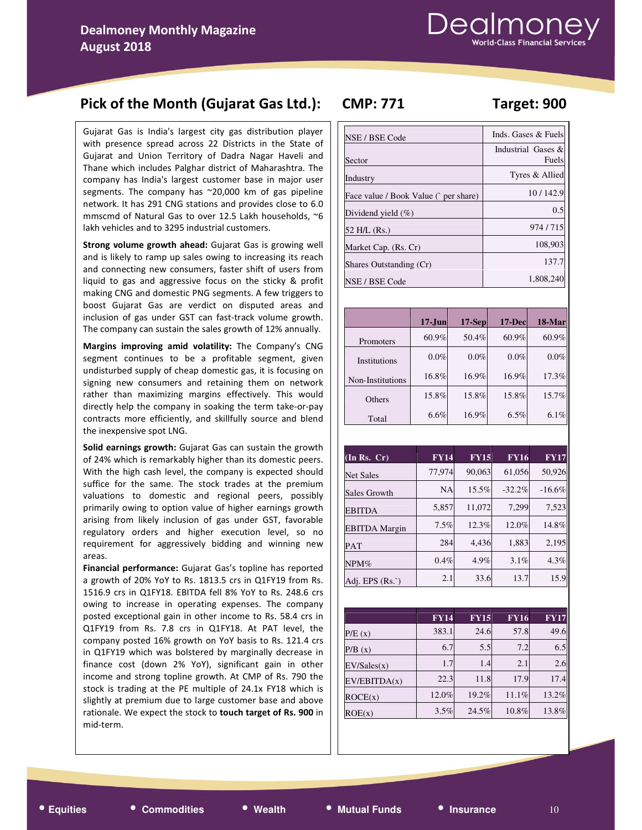## Pick of the Month (Gujarat Gas Ltd.): CMP: 771 Target: 900

Gujarat Gas is India's largest city gas distribution player with presence spread across 22 Districts in the State of Gujarat and Union Territory of Dadra Nagar Haveli and Thane which includes Palghar district of Maharashtra. The company has India's largest customer base in major user segments. The company has ~20,000 km of gas pipeline network. It has 291 CNG stations and provides close to 6.0 mmscmd of Natural Gas to over 12.5 Lakh households, ~6 lakh vehicles and to 3295 industrial customers.

Strong volume growth ahead: Gujarat Gas is growing well and is likely to ramp up sales owing to increasing its reach and connecting new consumers, faster shift of users from liquid to gas and aggressive focus on the sticky & profit making CNG and domestic PNG segments. A few triggers to boost Gujarat Gas are verdict on disputed areas and inclusion of gas under GST can fast-track volume growth. The company can sustain the sales growth of 12% annually.

Margins improving amid volatility: The Company's CNG segment continues to be a profitable segment, given undisturbed supply of cheap domestic gas, it is focusing on signing new consumers and retaining them on network rather than maximizing margins effectively. This would directly help the company in soaking the term take-or-pay contracts more efficiently, and skillfully source and blend the inexpensive spot LNG.

Solid earnings growth: Gujarat Gas can sustain the growth of 24% which is remarkably higher than its domestic peers. With the high cash level, the company is expected should suffice for the same. The stock trades at the premium valuations to domestic and regional peers, possibly primarily owing to option value of higher earnings growth arising from likely inclusion of gas under GST, favorable regulatory orders and higher execution level, so no requirement for aggressively bidding and winning new areas.

Financial performance: Gujarat Gas's topline has reported a growth of 20% YoY to Rs. 1813.5 crs in Q1FY19 from Rs. 1516.9 crs in Q1FY18. EBITDA fell 8% YoY to Rs. 248.6 crs owing to increase in operating expenses. The company posted exceptional gain in other income to Rs. 58.4 crs in Q1FY19 from Rs. 7.8 crs in Q1FY18. At PAT level, the company posted 16% growth on YoY basis to Rs. 121.4 crs in Q1FY19 which was bolstered by marginally decrease in finance cost (down 2% YoY), significant gain in other income and strong topline growth. At CMP of Rs. 790 the stock is trading at the PE multiple of 24.1x FY18 which is slightly at premium due to large customer base and above rationale. We expect the stock to touch target of Rs. 900 in mid-term.

| NSE / BSE Code                        | Inds. Gases & Fuels         |
|---------------------------------------|-----------------------------|
| Sector                                | Industrial Gases &<br>Fuels |
| Industry                              | Tyres & Allied              |
| Face value / Book Value (` per share) | 10/142.9                    |
| Dividend yield $(\% )$                | 0.5                         |
| 52 H/L (Rs.)                          | 974/715                     |
| Market Cap. (Rs. Cr)                  | 108,903                     |
| Shares Outstanding (Cr)               | 137.7                       |
| NSE / BSE Code                        | 1,808,240                   |

|                  | $17 - Jun$ | $17-Sep$ | 17-Dec | 18-Mar |
|------------------|------------|----------|--------|--------|
| Promoters        | 60.9%      | 50.4%    | 60.9%  | 60.9%  |
| Institutions     | $0.0\%$    | $0.0\%$  | 0.0%   | 0.0%   |
| Non-Institutions | 16.8%      | 16.9%    | 16.9%  | 17.3%  |
| Others           | 15.8%      | 15.8%    | 15.8%  | 15.7%  |
| Total            | 6.6%       | 16.9%    | 6.5%   | 6.1%   |

| $(In$ Rs. $Cr)$      | <b>FY14</b> | <b>FY15</b> | <b>FY16</b> | <b>FY17</b> |
|----------------------|-------------|-------------|-------------|-------------|
| <b>Net Sales</b>     | 77,974      | 90,063      | 61,056      | 50,926      |
| Sales Growth         | <b>NA</b>   | 15.5%       | $-32.2%$    | $-16.6%$    |
| <b>EBITDA</b>        | 5,857       | 11,072      | 7,299       | 7,523       |
| <b>EBITDA</b> Margin | 7.5%        | 12.3%       | 12.0%       | 14.8%       |
| <b>PAT</b>           | 284         | 4,436       | 1,883       | 2,195       |
| NPM%                 | 0.4%        | 4.9%        | 3.1%        | 4.3%        |
| Adj. EPS $(Rs. )$    | 2.1         | 33.6        | 13.7        | 15.9        |

|              | <b>FY14</b> | <b>FY15</b> | <b>FY16</b> | $\overline{\mathbf{FY}}$ 17 |
|--------------|-------------|-------------|-------------|-----------------------------|
| P/E(x)       | 383.1       | 24.6        | 57.8        | 49.6                        |
| P/B(x)       | 6.7         | 5.5         | 7.2         | 6.5                         |
| EV/Sales(x)  | 1.7         | 1.4         | 2.1         | 2.6                         |
| EV/EBITDA(x) | 22.3        | 11.8        | 17.9        | 17.4                        |
| ROCE(x)      | 12.0%       | 19.2%       | 11.1%       | 13.2%                       |
| ROE(x)       | 3.5%        | 24.5%       | 10.8%       | 13.8%                       |